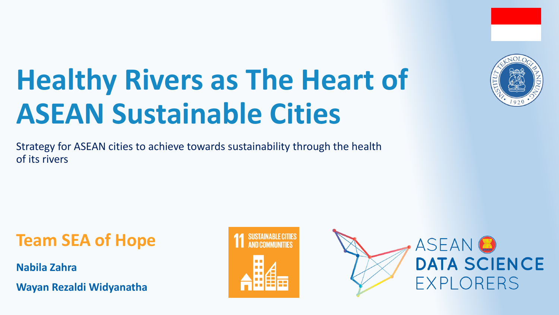# **Healthy Rivers as The Heart of ASEAN Sustainable Cities**

Strategy for ASEAN cities to achieve towards sustainability through the health of its rivers

**Team SEA of Hope**

**Nabila Zahra**

**Wayan Rezaldi Widyanatha**







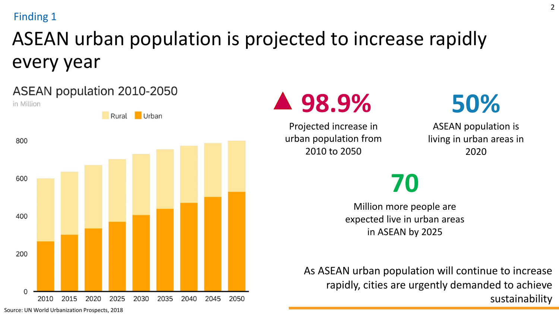#### Finding 1

## ASEAN urban population is projected to increase rapidly every year



ASEAN population 2010-2050



Projected increase in urban population from 2010 to 2050



ASEAN population is living in urban areas in 2020

# **70**

Million more people are expected live in urban areas in ASEAN by 2025

As ASEAN urban population will continue to increase rapidly, cities are urgently demanded to achieve sustainability

Source: UN World Urbanization Prospects, 2018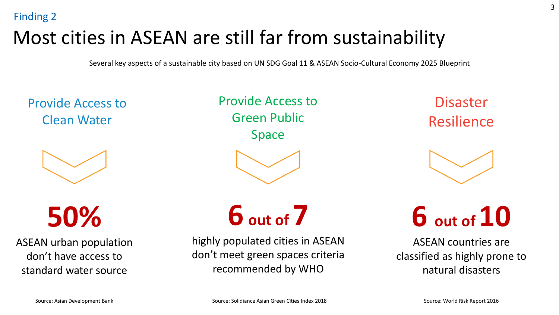## Most cities in ASEAN are still far from sustainability

Several key aspects of a sustainable city based on UN SDG Goal 11 & ASEAN Socio-Cultural Economy 2025 Blueprint

Provide Access to Clean Water



**50%** 

ASEAN urban population don't have access to standard water source

Provide Access Provide Access to Green Public Space Space



**6 out of 7**

highly populated cities in ASEAN don't meet green spaces criteria recommended by WHO

**Disaster Resilience** 



**6 out of 10**

ASEAN countries are classified as highly prone to natural disasters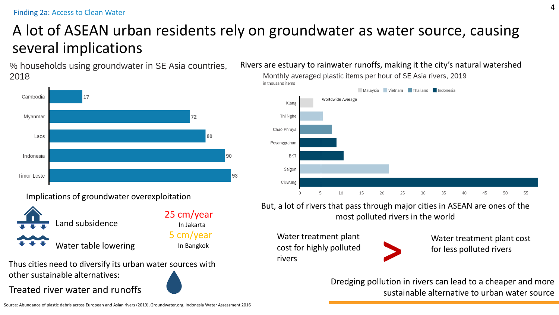### A lot of ASEAN urban residents rely on groundwater as water source, causing several implications

% households using groundwater in SE Asia countries, 2018



Implications of groundwater overexploitation



Thus cities need to diversify its urban water sources with other sustainable alternatives: 

Treated river water and runoffs

Rivers are estuary to rainwater runoffs, making it the city's natural watershed



But, a lot of rivers that pass through major cities in ASEAN are ones of the most polluted rivers in the world

Water treatment plant cost for highly polluted rivers



Water treatment plant cost for less polluted rivers

Dredging pollution in rivers can lead to a cheaper and more sustainable alternative to urban water source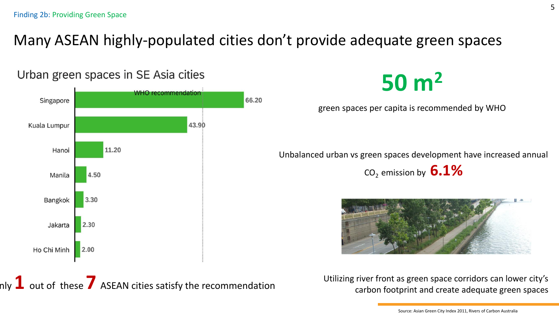### Many ASEAN highly-populated cities don't provide adequate green spaces



nly  $\mathbf 1$  out of these  $\mathbf 7$  ASEAN cities satisfy the recommendation

**50 m<sup>2</sup>**

green spaces per capita is recommended by WHO

Unbalanced urban vs green spaces development have increased annual

CO2 emission by **6.1%**



Utilizing river front as green space corridors can lower city's carbon footprint and create adequate green spaces

Source: Asian Green City Index 2011, Rivers of Carbon Australia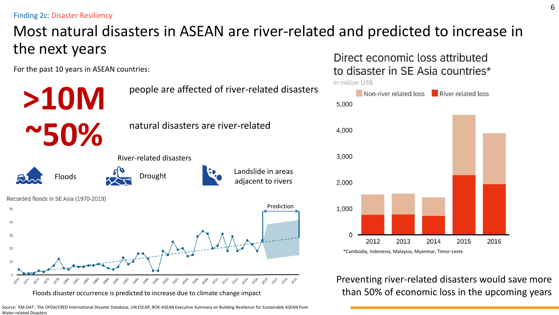Finding 2c: Disaster Resiliency

### Most natural disasters in ASEAN are river-related and predicted to increase in the next years

For the past 10 years in ASEAN countries:



Floods disaster occurrence is predicted to increase due to climate change impact

Source: EM-DAT : The OFDA/CRED International Disaster Database, UN ESCAP, ROK-ASEAN Executive Summary on Building Resilience for Sustainable ASEAN from Water-related Disasters

Direct economic loss attributed to disaster in SE Asia countries\*



Preventing river-related disasters would save more than 50% of economic loss in the upcoming years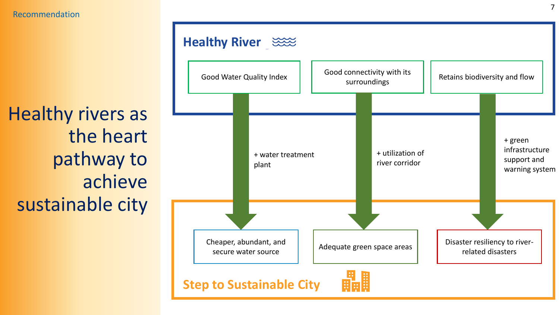Healthy rivers as the heart pathway to achieve sustainable city

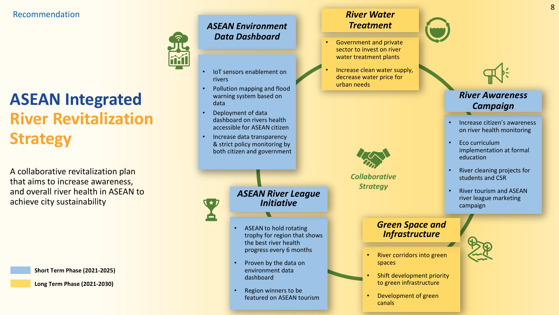### **ASEAN Integrated River Revitalization Strategy**

A collaborative revitalization plan that aims to increase awareness, and overall river health in ASEAN to achieve city sustainability

**Short Term Phase (2021-2025)**

**Long Term Phase (2021-2030)**

*ASEAN Environment Data Dashboard*

- IoT sensors enablement on rivers
- Pollution mapping and flood warning system based on data
- Deployment of data dashboard on rivers health accessible for ASEAN citizen
- Increase data transparency & strict policy monitoring by both citizen and government

*ASEAN River League Initiative*

- ASEAN to hold rotating trophy for region that shows the best river health progress every 6 months
- Proven by the data on environment data dashboard
- Region winners to be featured on ASEAN tourism

#### *River Water Treatment*

- Government and private sector to invest on river water treatment plants
- Increase clean water supply, decrease water price for urban needs

*Collaborative Strategy*



- Increase citizen's awareness on river health monitoring
- Eco curriculum implementation at formal education
- River cleaning projects for students and CSR
- River tourism and ASEAN river league marketing campaign

#### *Green Space and Infrastructure*



- River corridors into green spaces
- Shift development priority to green infrastructure
- Development of green canals



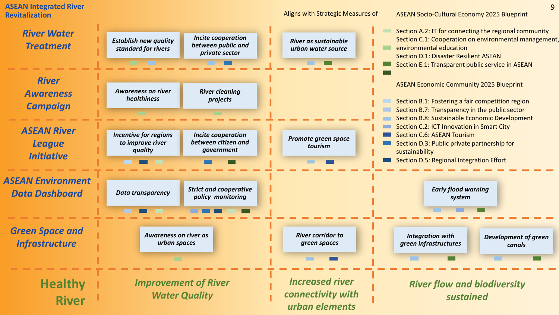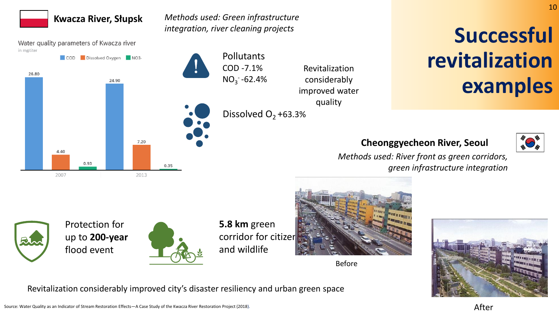#### **Kwacza River, Słupsk**

*Methods used: Green infrastructure integration, river cleaning projects*

Water quality parameters of Kwacza river in mg/liter



Revitalization considerably improved water quality

## Dissolved  $O_2$ +63.3%

# **Successful revitalization examples**

#### **Cheonggyecheon River, Seoul**



10

*Methods used: River front as green corridors, green infrastructure integration*





**5.8 km** green corridor for citizer and wildlife



Before



Revitalization considerably improved city's disaster resiliency and urban green space